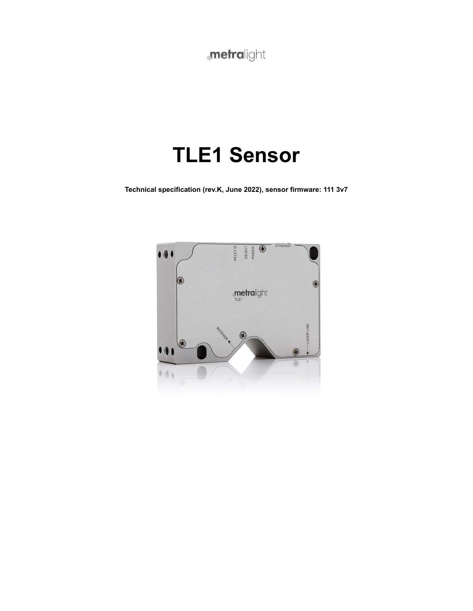**metralight** 

# **TLE1 Sensor**

**Technical specification (rev.K, June 2022), sensor firmware: 111 3v7**

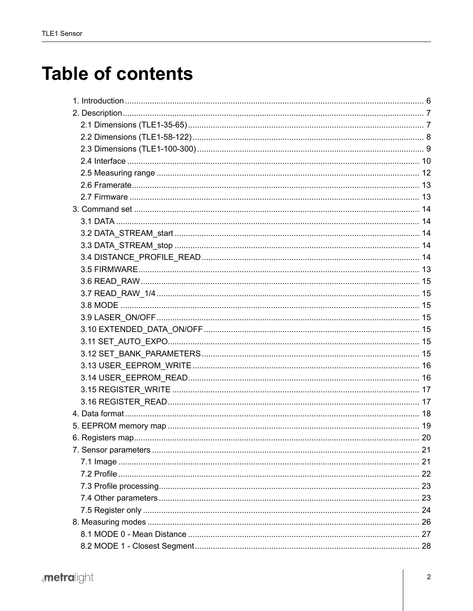## **Table of contents**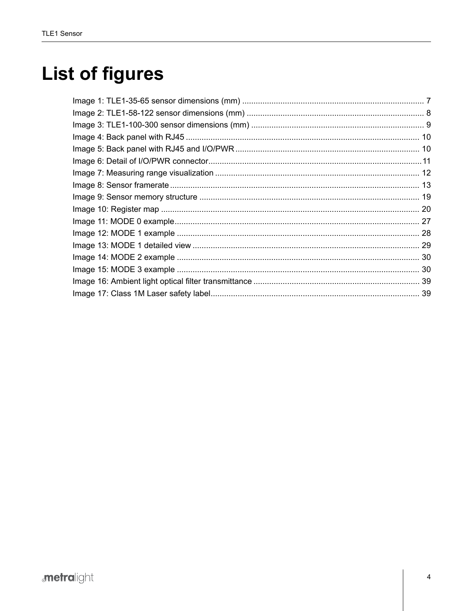# **List of figures**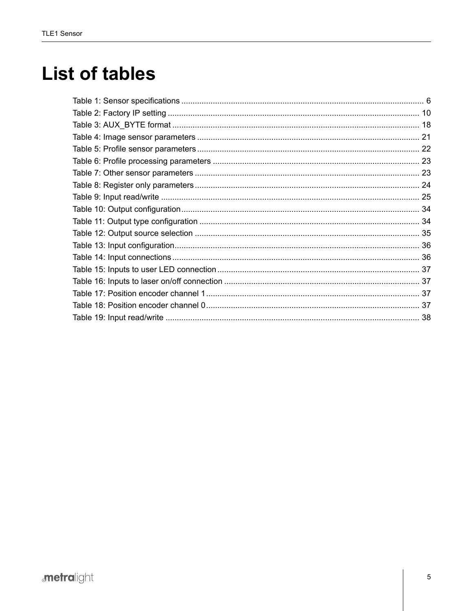## **List of tables**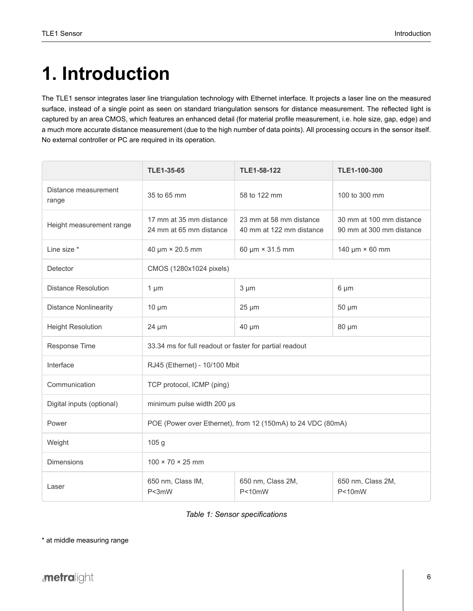# <span id="page-5-0"></span>**1. Introduction**

The TLE1 sensor integrates laser line triangulation technology with Ethernet interface. It projects a laser line on the measured surface, instead of a single point as seen on standard triangulation sensors for distance measurement. The reflected light is captured by an area CMOS, which features an enhanced detail (for material profile measurement, i.e. hole size, gap, edge) and a much more accurate distance measurement (due to the high number of data points). All processing occurs in the sensor itself. No external controller or PC are required in its operation.

<span id="page-5-1"></span>

|                                                                                 | <b>TLE1-35-65</b><br>TLE1-58-122                            |                                                     | TLE1-100-300                                         |  |
|---------------------------------------------------------------------------------|-------------------------------------------------------------|-----------------------------------------------------|------------------------------------------------------|--|
| Distance measurement<br>range                                                   | 35 to 65 mm                                                 |                                                     | 100 to 300 mm                                        |  |
| 17 mm at 35 mm distance<br>Height measurement range<br>24 mm at 65 mm distance  |                                                             | 23 mm at 58 mm distance<br>40 mm at 122 mm distance | 30 mm at 100 mm distance<br>90 mm at 300 mm distance |  |
| Line size *                                                                     | 40 µm × 20.5 mm                                             | 60 µm × 31.5 mm                                     | 140 $\mu$ m × 60 mm                                  |  |
| Detector                                                                        | CMOS (1280x1024 pixels)                                     |                                                     |                                                      |  |
| <b>Distance Resolution</b>                                                      | $1 \mu m$                                                   | $3 \mu m$                                           | 6 µm                                                 |  |
| <b>Distance Nonlinearity</b><br>$10 \mu m$<br><b>Height Resolution</b><br>24 µm |                                                             | $25 \mu m$                                          | $50 \mu m$                                           |  |
|                                                                                 |                                                             | 40 µm                                               | 80 µm                                                |  |
| Response Time                                                                   | 33.34 ms for full readout or faster for partial readout     |                                                     |                                                      |  |
| Interface                                                                       | RJ45 (Ethernet) - 10/100 Mbit                               |                                                     |                                                      |  |
| Communication                                                                   | TCP protocol, ICMP (ping)                                   |                                                     |                                                      |  |
| Digital inputs (optional)                                                       | minimum pulse width 200 µs                                  |                                                     |                                                      |  |
| Power                                                                           | POE (Power over Ethernet), from 12 (150mA) to 24 VDC (80mA) |                                                     |                                                      |  |
| Weight                                                                          | 105 <sub>g</sub>                                            |                                                     |                                                      |  |
| <b>Dimensions</b>                                                               | $100 \times 70 \times 25$ mm                                |                                                     |                                                      |  |
| 650 nm, Class IM,<br>Laser<br>P<3mW                                             |                                                             | 650 nm, Class 2M,<br>P<10mW                         | 650 nm, Class 2M,<br>P<10mW                          |  |

*Table 1: Sensor specifications*

\* at middle measuring range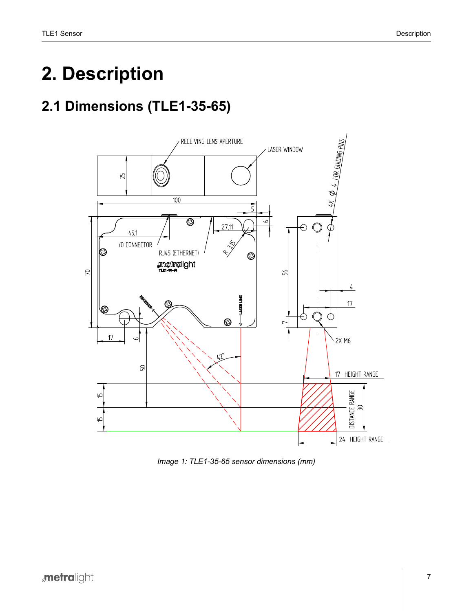## <span id="page-6-0"></span>**2. Description**

## <span id="page-6-2"></span><span id="page-6-1"></span>**2.1 Dimensions (TLE1-35-65)**



*Image 1: TLE1-35-65 sensor dimensions (mm)*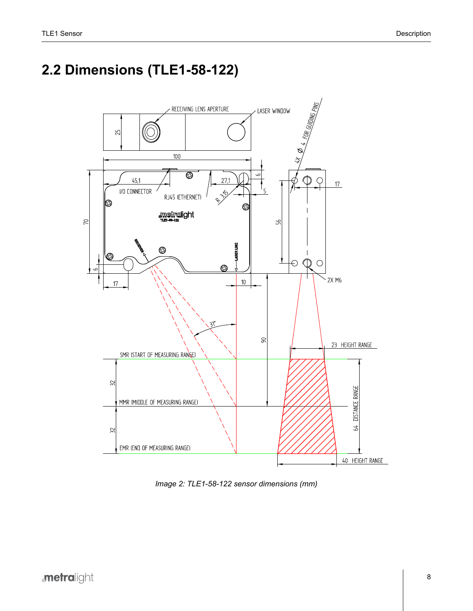### <span id="page-7-1"></span><span id="page-7-0"></span>**2.2 Dimensions (TLE1-58-122)**



*Image 2: TLE1-58-122 sensor dimensions (mm)*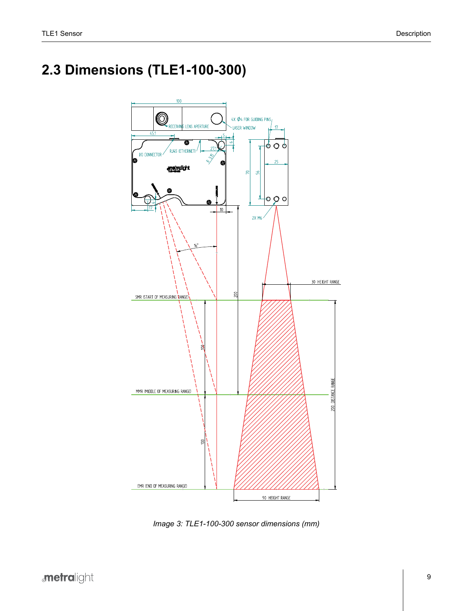### <span id="page-8-1"></span><span id="page-8-0"></span>**2.3 Dimensions (TLE1-100-300)**



*Image 3: TLE1-100-300 sensor dimensions (mm)*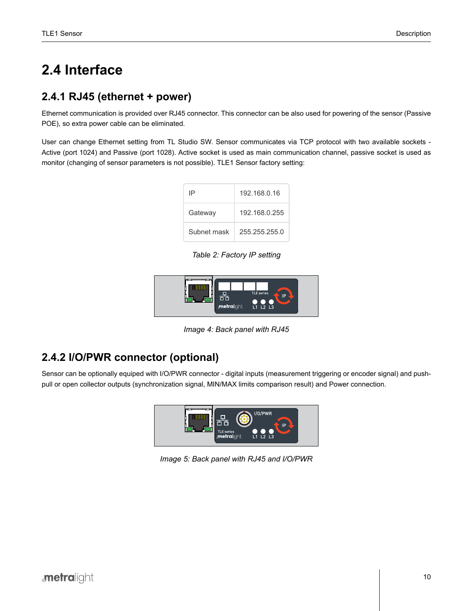### <span id="page-9-0"></span>**2.4 Interface**

#### **2.4.1 RJ45 (ethernet + power)**

Ethernet communication is provided over RJ45 connector. This connector can be also used for powering of the sensor (Passive POE), so extra power cable can be eliminated.

<span id="page-9-3"></span>User can change Ethernet setting from TL Studio SW. Sensor communicates via TCP protocol with two available sockets - Active (port 1024) and Passive (port 1028). Active socket is used as main communication channel, passive socket is used as monitor (changing of sensor parameters is not possible). TLE1 Sensor factory setting:

| IP          | 192.168.0.16  |
|-------------|---------------|
| Gateway     | 192.168.0.255 |
| Subnet mask | 255.255.255.0 |

*Table 2: Factory IP setting*



*Image 4: Back panel with RJ45*

#### <span id="page-9-1"></span>**2.4.2 I/O/PWR connector (optional)**

<span id="page-9-2"></span>Sensor can be optionally equiped with I/O/PWR connector - digital inputs (measurement triggering or encoder signal) and pushpull or open collector outputs (synchronization signal, MIN/MAX limits comparison result) and Power connection.



*Image 5: Back panel with RJ45 and I/O/PWR*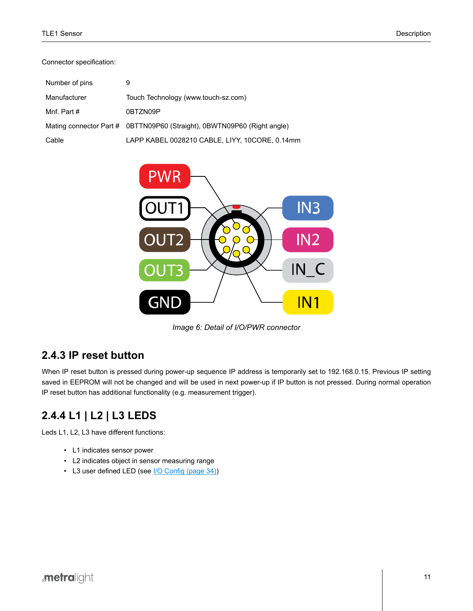Connector specification:

<span id="page-10-0"></span>

| Number of pins | 9                                                                       |
|----------------|-------------------------------------------------------------------------|
| Manufacturer   | Touch Technology (www.touch-sz.com)                                     |
| Mnf. Part #    | 0BTZN09P                                                                |
|                | Mating connector Part # 0BTTN09P60 (Straight), 0BWTN09P60 (Right angle) |
| Cable          | LAPP KABEL 0028210 CABLE, LIYY, 10CORE, 0.14mm                          |



*Image 6: Detail of I/O/PWR connector*

#### **2.4.3 IP reset button**

When IP reset button is pressed during power-up sequence IP address is temporarily set to 192.168.0.15. Previous IP setting saved in EEPROM will not be changed and will be used in next power-up if IP button is not pressed. During normal operation IP reset button has additional functionality (e.g. measurement trigger).

#### **2.4.4 L1 | L2 | L3 LEDS**

Leds L1, L2, L3 have different functions:

- L1 indicates sensor power
- L2 indicates object in sensor measuring range
- L3 user defined LED (see *[I/O Config](#page-33-0) (page 34)*)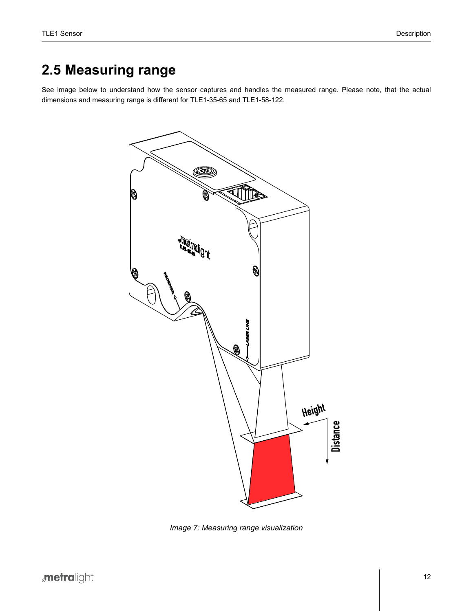### <span id="page-11-0"></span>**2.5 Measuring range**

<span id="page-11-1"></span>See image below to understand how the sensor captures and handles the measured range. Please note, that the actual dimensions and measuring range is different for TLE1-35-65 and TLE1-58-122.



*Image 7: Measuring range visualization*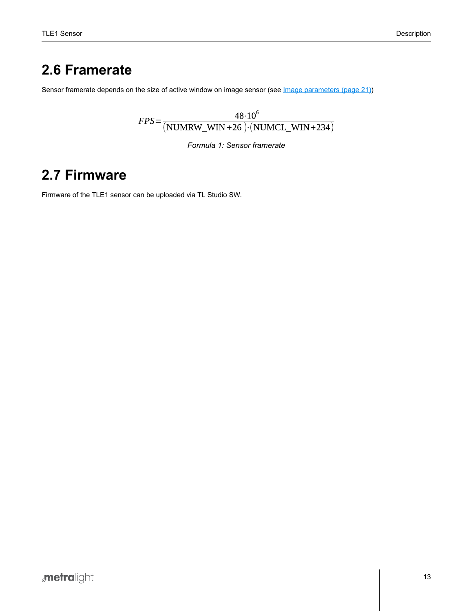### <span id="page-12-0"></span>**2.6 Framerate**

<span id="page-12-2"></span>Sensor framerate depends on the size of active window on image sensor (see *[Image parameters](#page-20-2) (page 21)*)

$$
FPS = \frac{48.10^6}{(NUMRW\_WIN + 26) \cdot (NUMCL\_WIN + 234)}
$$

*Formula 1: Sensor framerate*

### <span id="page-12-1"></span>**2.7 Firmware**

Firmware of the TLE1 sensor can be uploaded via TL Studio SW.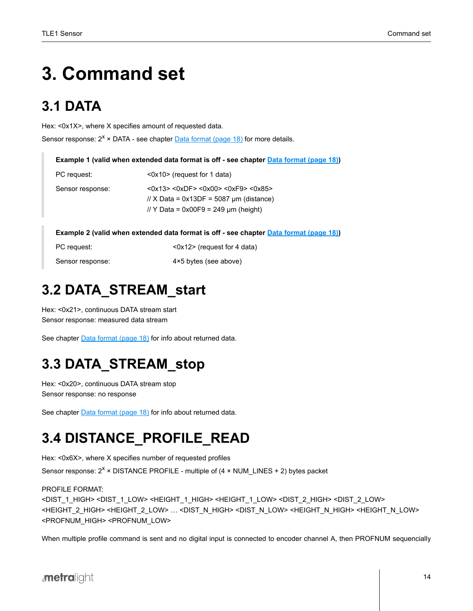## <span id="page-13-0"></span>**3. Command set**

### <span id="page-13-1"></span>**3.1 DATA**

Hex: <0x1X>, where X specifies amount of requested data.

Sensor response: 2<sup>x</sup> × DATA - see chapter <u>[Data format](#page-17-0) (page 18)</u> for more details.

**Example 1 (valid when extended data format is off - see chapter [Data format](#page-17-0) (page 18))**

| PC request:      | $\langle 0x10 \rangle$ (request for 1 data)        |
|------------------|----------------------------------------------------|
| Sensor response: | $<$ 0x13> $<$ 0xDF> $<$ 0x00> $<$ 0xF9> $<$ 0x85>  |
|                  | $\frac{1}{2}$ X Data = 0x13DF = 5087 µm (distance) |
|                  | // Y Data = 0x00F9 = 249 $\mu$ m (height)          |

**Example 2 (valid when extended data format is off - see chapter [Data format](#page-17-0) (page 18))**

| PC request:      | $<$ 0x12> (request for 4 data) |
|------------------|--------------------------------|
| Sensor response: | $4\times5$ bytes (see above)   |

### <span id="page-13-2"></span>**3.2 DATA\_STREAM\_start**

Hex: <0x21>, continuous DATA stream start Sensor response: measured data stream

See chapter **[Data format](#page-17-0) (page 18)** for info about returned data.

## <span id="page-13-3"></span>**3.3 DATA\_STREAM\_stop**

Hex: <0x20>, continuous DATA stream stop Sensor response: no response

See chapter **[Data format](#page-17-0)** (page 18) for info about returned data.

### <span id="page-13-4"></span>**3.4 DISTANCE\_PROFILE\_READ**

Hex: <0x6X>, where X specifies number of requested profiles

Sensor response: 2<sup>x</sup> × DISTANCE PROFILE - multiple of (4 × NUM\_LINES + 2) bytes packet

PROFILE FORMAT:

```
<DIST_1_HIGH> <DIST_1_LOW> <HEIGHT_1_HIGH> <HEIGHT_1_LOW> <DIST_2_HIGH> <DIST_2_LOW>
<HEIGHT_2_HIGH> <HEIGHT_2_LOW> … <DIST_N_HIGH> <DIST_N_LOW> <HEIGHT_N_HIGH> <HEIGHT_N_LOW>
<PROFNUM_HIGH> <PROFNUM_LOW>
```
When multiple profile command is sent and no digital input is connected to encoder channel A, then PROFNUM sequencially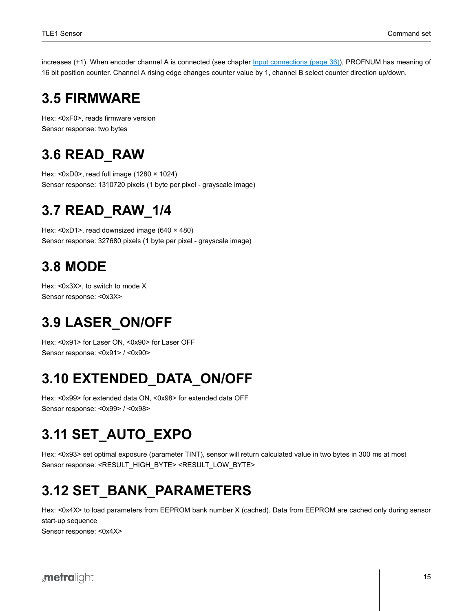increases (+1). When encoder channel A is connected (see chapter [Input connections](#page-35-1) (page 36)), PROFNUM has meaning of 16 bit position counter. Channel A rising edge changes counter value by 1, channel B select counter direction up/down.

#### **3.5 FIRMWARE**

Hex: <0xF0>, reads firmware version Sensor response: two bytes

### <span id="page-14-0"></span>**3.6 READ\_RAW**

Hex: <0xD0>, read full image (1280 × 1024) Sensor response: 1310720 pixels (1 byte per pixel - grayscale image)

#### <span id="page-14-1"></span>**3.7 READ\_RAW\_1/4**

Hex: <0xD1>, read downsized image (640 × 480) Sensor response: 327680 pixels (1 byte per pixel - grayscale image)

### <span id="page-14-2"></span>**3.8 MODE**

Hex: <0x3X>, to switch to mode X Sensor response: <0x3X>

### <span id="page-14-3"></span>**3.9 LASER\_ON/OFF**

Hex: <0x91> for Laser ON, <0x90> for Laser OFF Sensor response: <0x91> / <0x90>

### <span id="page-14-4"></span>**3.10 EXTENDED\_DATA\_ON/OFF**

Hex: <0x99> for extended data ON, <0x98> for extended data OFF Sensor response: <0x99> / <0x98>

## <span id="page-14-5"></span>**3.11 SET\_AUTO\_EXPO**

Hex: <0x93> set optimal exposure (parameter TINT), sensor will return calculated value in two bytes in 300 ms at most Sensor response: <RESULT\_HIGH\_BYTE> <RESULT\_LOW\_BYTE>

## <span id="page-14-6"></span>**3.12 SET\_BANK\_PARAMETERS**

Hex: <0x4X> to load parameters from EEPROM bank number X (cached). Data from EEPROM are cached only during sensor start-up sequence

Sensor response: <0x4X>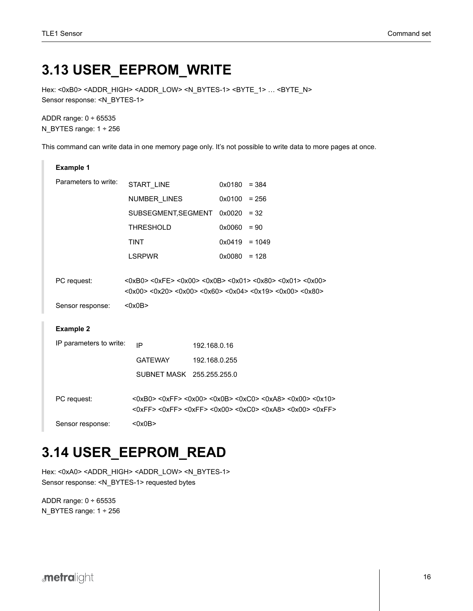### <span id="page-15-0"></span>**3.13 USER\_EEPROM\_WRITE**

Hex: <0xB0> <ADDR\_HIGH> <ADDR\_LOW> <N\_BYTES-1> <BYTE\_1> ... <BYTE\_N> Sensor response: <N\_BYTES-1>

ADDR range: 0 ÷ 65535 N\_BYTES range: 1 ÷ 256

This command can write data in one memory page only. It's not possible to write data to more pages at once.

| <b>Example 1</b>        |                           |               |                 |                                                                                                                                                                    |
|-------------------------|---------------------------|---------------|-----------------|--------------------------------------------------------------------------------------------------------------------------------------------------------------------|
| Parameters to write:    | START LINE                |               | 0x0180          | $= 384$                                                                                                                                                            |
|                         | NUMBER LINES              |               | 0x0100          | $= 256$                                                                                                                                                            |
|                         | SUBSEGMENT, SEGMENT       |               | 0x0020          | $= 32$                                                                                                                                                             |
|                         | <b>THRESHOLD</b>          |               | 0x0060          | $= 90$                                                                                                                                                             |
|                         | <b>TINT</b>               |               | $0x0419 = 1049$ |                                                                                                                                                                    |
|                         | <b>LSRPWR</b>             |               | 0x0080          | $= 128$                                                                                                                                                            |
| PC request:             |                           |               |                 | $<$ 0xB0> $<$ 0xFE> $<$ 0x00> $<$ 0x0B> $<$ 0x01> $<$ 0x80> $<$ 0x01> $<$ 0x00><br>$<$ 0x00> $<$ 0x20> $<$ 0x00> $<$ 0x60> $<$ 0x04> $<$ 0x19> $<$ 0x00> $<$ 0x80> |
| Sensor response:        | <0x0B>                    |               |                 |                                                                                                                                                                    |
| <b>Example 2</b>        |                           |               |                 |                                                                                                                                                                    |
| IP parameters to write: | IP                        | 192.168.0.16  |                 |                                                                                                                                                                    |
|                         | GATEWAY                   | 192.168.0.255 |                 |                                                                                                                                                                    |
|                         | SUBNET MASK 255.255.255.0 |               |                 |                                                                                                                                                                    |
| PC request:             |                           |               |                 | $<$ 0xB0> $<$ 0xFF> $<$ 0x00> $<$ 0x0B> $<$ 0xC0> $<$ 0xA8> $<$ 0x00> $<$ 0x10><br>$<$ 0xFF> $<$ 0xFF> $<$ 0xFF> $<$ 0x00> $<$ 0xC0> $<$ 0xA8> $<$ 0x00> $<$ 0xFF> |
| Sensor response:        | <0x0B>                    |               |                 |                                                                                                                                                                    |

### <span id="page-15-1"></span>**3.14 USER\_EEPROM\_READ**

Hex: <0xA0> <ADDR\_HIGH> <ADDR\_LOW> <N\_BYTES-1> Sensor response: <N\_BYTES-1> requested bytes

ADDR range: 0 ÷ 65535 N BYTES range:  $1 \div 256$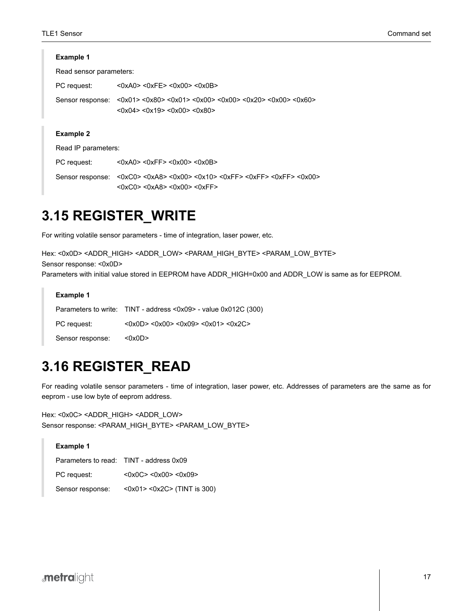| <b>Example 1</b>        |                                                                                                                     |  |  |  |
|-------------------------|---------------------------------------------------------------------------------------------------------------------|--|--|--|
| Read sensor parameters: |                                                                                                                     |  |  |  |
| PC request:             | $<$ 0xA0> $<$ 0xFF> $<$ 0x00> $<$ 0x0B>                                                                             |  |  |  |
|                         | Sensor response: <0x01> <0x80> <0x01> <0x00> <0x00> <0x20> <0x20> <0x60><br>$<$ 0x04> $<$ 0x19> $<$ 0x00> $<$ 0x80> |  |  |  |
| <b>Example 2</b>        |                                                                                                                     |  |  |  |
| Read IP parameters:     |                                                                                                                     |  |  |  |
| PC request:             | $<$ 0xA0> $<$ 0xFF> $<$ 0x00> $<$ 0x0B>                                                                             |  |  |  |
|                         | Sensor response: <0xC0> <0xA8> <0x00> <0x10> <0xFF> <0xFF> <0xFF> <0x00><br>$<$ 0xC0> $<$ 0xA8> $<$ 0x00> $<$ 0xFF> |  |  |  |

### <span id="page-16-0"></span>**3.15 REGISTER\_WRITE**

For writing volatile sensor parameters - time of integration, laser power, etc.

Hex: <0x0D> <ADDR\_HIGH> <ADDR\_LOW> <PARAM\_HIGH\_BYTE> <PARAM\_LOW\_BYTE> Sensor response: <0x0D> Parameters with initial value stored in EEPROM have ADDR HIGH=0x00 and ADDR LOW is same as for EEPROM.

#### **Example 1**

Parameters to write: TINT - address <0x09> - value 0x012C (300) PC request: <0x0D> <0x00> <0x09> <0x01> <0x2C> Sensor response: <0x0D>

### <span id="page-16-1"></span>**3.16 REGISTER\_READ**

For reading volatile sensor parameters - time of integration, laser power, etc. Addresses of parameters are the same as for eeprom - use low byte of eeprom address.

Hex: <0x0C> <ADDR\_HIGH> <ADDR\_LOW> Sensor response: <PARAM\_HIGH\_BYTE> <PARAM\_LOW\_BYTE>

#### **Example 1**

|                  | Parameters to read: TINT - address 0x09 |
|------------------|-----------------------------------------|
| PC request:      | $<0x0C>$ $<0x00>$ $<0x09>$              |
| Sensor response: | <0x01> <0x2C> (TINT is 300)             |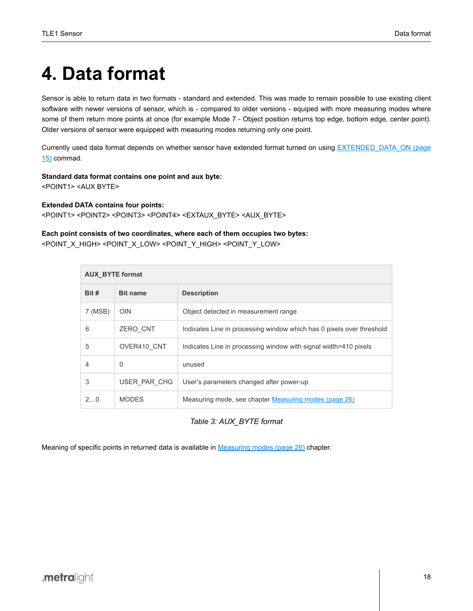## <span id="page-17-0"></span>**4. Data format**

Sensor is able to return data in two formats - standard and extended. This was made to remain possible to use existing client software with newer versions of sensor, which is - compared to older versions - equiped with more measuring modes where some of them return more points at once (for example Mode 7 - Object position returns top edge, bottom edge, center point). Older versions of sensor were equipped with measuring modes returning only one point.

Currently used data format depends on whether sensor have extended format turned on using [EXTENDED\\_DATA\\_ON](#page-14-4) (page [15\)](#page-14-4) commad.

**Standard data format contains one point and aux byte:**

<POINT1> <AUX BYTE>

#### **Extended DATA contains four points:**

<POINT1> <POINT2> <POINT3> <POINT4> <EXTAUX\_BYTE> <AUX\_BYTE>

#### <span id="page-17-1"></span>**Each point consists of two coordinates, where each of them occupies two bytes:** <POINT\_X\_HIGH> <POINT\_X\_LOW> <POINT\_Y\_HIGH> <POINT\_Y\_LOW>

| <b>AUX BYTE format</b> |                 |                                                                       |  |  |  |  |  |  |
|------------------------|-----------------|-----------------------------------------------------------------------|--|--|--|--|--|--|
| Bit #                  | <b>Bit name</b> | <b>Description</b>                                                    |  |  |  |  |  |  |
| 7 (MSB)                | <b>OIN</b>      | Object detected in measurement range                                  |  |  |  |  |  |  |
| 6                      | ZERO CNT        | Indicates Line in processing window which has 0 pixels over threshold |  |  |  |  |  |  |
| 5                      | OVER410 CNT     | Indicates Line in processing window with signal width>410 pixels      |  |  |  |  |  |  |
| 4                      | 0               | unused                                                                |  |  |  |  |  |  |
| 3                      | USER PAR CHG    | User's parameters changed after power-up                              |  |  |  |  |  |  |
| 20                     | <b>MODES</b>    | Measuring mode, see chapter Measuring modes (page 26)                 |  |  |  |  |  |  |

*Table 3: AUX\_BYTE format*

Meaning of specific points in returned data is available in [Measuring modes](#page-25-0) (page 26) chapter.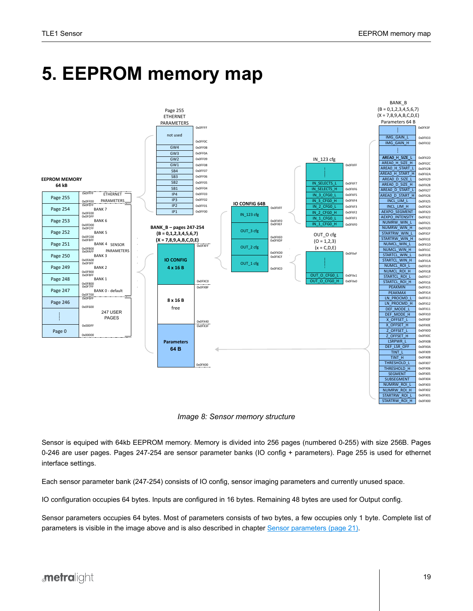## <span id="page-18-0"></span>**5. EEPROM memory map**

<span id="page-18-1"></span>

*Image 8: Sensor memory structure*

Sensor is equiped with 64kb EEPROM memory. Memory is divided into 256 pages (numbered 0-255) with size 256B. Pages 0-246 are user pages. Pages 247-254 are sensor parameter banks (IO config + parameters). Page 255 is used for ethernet interface settings.

Each sensor parameter bank (247-254) consists of IO config, sensor imaging parameters and currently unused space.

IO configuration occupies 64 bytes. Inputs are configured in 16 bytes. Remaining 48 bytes are used for Output config.

Sensor parameters occupies 64 bytes. Most of parameters consists of two bytes, a few occupies only 1 byte. Complete list of parameters is visible in the image above and is also described in chapter [Sensor parameters](#page-20-0) (page 21).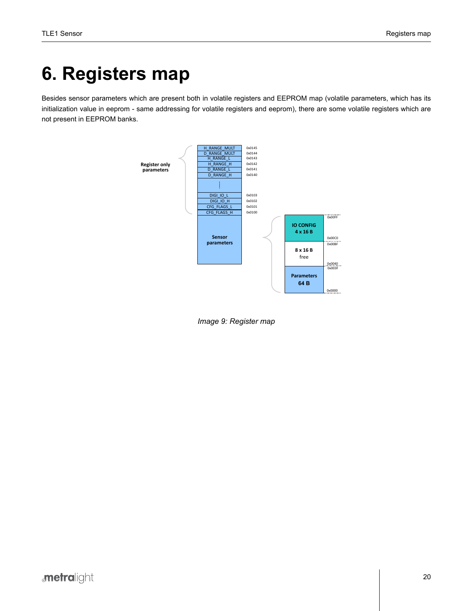## <span id="page-19-0"></span>**6. Registers map**

<span id="page-19-1"></span>Besides sensor parameters which are present both in volatile registers and EEPROM map (volatile parameters, which has its initialization value in eeprom - same addressing for volatile registers and eeprom), there are some volatile registers which are not present in EEPROM banks.



*Image 9: Register map*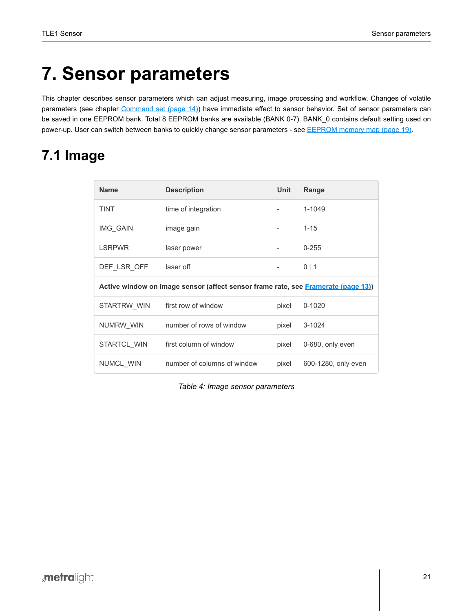## <span id="page-20-0"></span>**7. Sensor parameters**

This chapter describes sensor parameters which can adjust measuring, image processing and workflow. Changes of volatile parameters (see chapter [Command set](#page-13-0) (page 14)) have immediate effect to sensor behavior. Set of sensor parameters can be saved in one EEPROM bank. Total 8 EEPROM banks are available (BANK 0-7). BANK\_0 contains default setting used on power-up. User can switch between banks to quickly change sensor parameters - see [EEPROM memory map](#page-18-0) (page 19).

### <span id="page-20-2"></span><span id="page-20-1"></span>**7.1 Image**

| <b>Name</b>     | <b>Description</b>                                                                      | Unit                     | Range            |
|-----------------|-----------------------------------------------------------------------------------------|--------------------------|------------------|
| <b>TINT</b>     | time of integration                                                                     |                          | 1-1049           |
| <b>IMG GAIN</b> | image gain                                                                              | $\overline{\phantom{a}}$ | $1 - 15$         |
| <b>LSRPWR</b>   | laser power                                                                             |                          | $0 - 255$        |
| DEF LSR OFF     | laser off                                                                               | -                        | 0   1            |
|                 |                                                                                         |                          |                  |
|                 | Active window on image sensor (affect sensor frame rate, see <b>Framerate (page 13)</b> |                          |                  |
| STARTRW_WIN     | first row of window                                                                     | pixel                    | $0 - 1020$       |
| NUMRW WIN       | number of rows of window                                                                | pixel                    | $3 - 1024$       |
| STARTCL WIN     | first column of window                                                                  | pixel                    | 0-680, only even |

*Table 4: Image sensor parameters*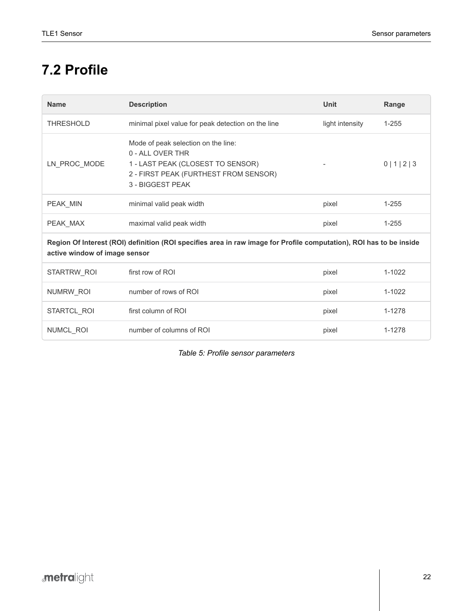## <span id="page-21-0"></span>**7.2 Profile**

<span id="page-21-1"></span>

| <b>Name</b>                   | <b>Description</b>                                                                                                                                        | Unit            | Range      |
|-------------------------------|-----------------------------------------------------------------------------------------------------------------------------------------------------------|-----------------|------------|
| <b>THRESHOLD</b>              | minimal pixel value for peak detection on the line                                                                                                        | light intensity | $1 - 255$  |
| LN_PROC_MODE                  | Mode of peak selection on the line:<br>0 - ALL OVER THR<br>1 - LAST PEAK (CLOSEST TO SENSOR)<br>2 - FIRST PEAK (FURTHEST FROM SENSOR)<br>3 - BIGGEST PEAK |                 | 0 1 2 3    |
| PEAK_MIN                      | minimal valid peak width                                                                                                                                  | pixel           | $1 - 255$  |
| PEAK_MAX                      | maximal valid peak width                                                                                                                                  | pixel           | $1 - 255$  |
| active window of image sensor | Region Of Interest (ROI) definition (ROI specifies area in raw image for Profile computation), ROI has to be inside                                       |                 |            |
| STARTRW_ROI                   | first row of ROI                                                                                                                                          | pixel           | $1 - 1022$ |
| NUMRW_ROI                     | number of rows of ROI                                                                                                                                     | pixel           | 1-1022     |
| STARTCL ROI                   | first column of ROI                                                                                                                                       | pixel           | 1-1278     |
| NUMCL_ROI                     | number of columns of ROI                                                                                                                                  | pixel           | 1-1278     |

*Table 5: Profile sensor parameters*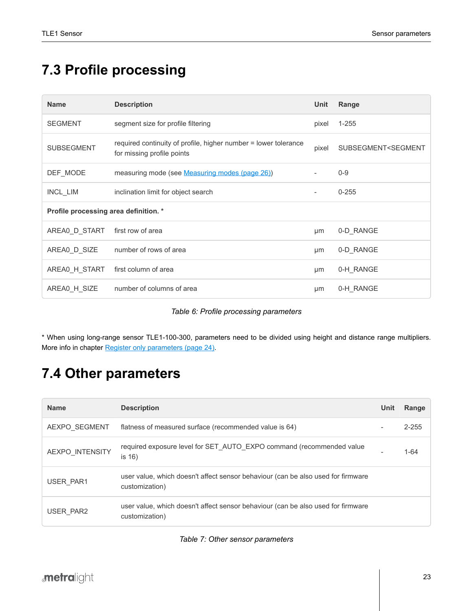### <span id="page-22-0"></span>**7.3 Profile processing**

<span id="page-22-2"></span>

| <b>Name</b>                           | <b>Description</b>                                                                            | Unit                     | Range                                  |
|---------------------------------------|-----------------------------------------------------------------------------------------------|--------------------------|----------------------------------------|
| <b>SEGMENT</b>                        | segment size for profile filtering                                                            | pixel                    | $1 - 255$                              |
| <b>SUBSEGMENT</b>                     | required continuity of profile, higher number = lower tolerance<br>for missing profile points | pixel                    | SUBSEGMENT <segment< td=""></segment<> |
| DEF_MODE                              | measuring mode (see Measuring modes (page 26))                                                |                          | $0 - 9$                                |
| INCL_LIM                              | inclination limit for object search                                                           | $\overline{\phantom{a}}$ | $0 - 255$                              |
| Profile processing area definition. * |                                                                                               |                          |                                        |
| AREA0 D START                         | first row of area                                                                             | μm                       | 0-D RANGE                              |
| AREA0_D_SIZE                          | number of rows of area                                                                        | µm                       | 0-D RANGE                              |
| AREA0_H_START                         | first column of area                                                                          | µm                       | 0-H RANGE                              |
| AREA0 H SIZE                          | number of columns of area                                                                     | µm                       | 0-H_RANGE                              |

#### *Table 6: Profile processing parameters*

\* When using long-range sensor TLE1-100-300, parameters need to be divided using height and distance range multipliers. More info in chapter [Register only parameters](#page-23-0) (page 24).

### <span id="page-22-1"></span>**7.4 Other parameters**

<span id="page-22-3"></span>

| <b>Name</b>            | <b>Description</b>                                                                                 | Unit                     | Range     |
|------------------------|----------------------------------------------------------------------------------------------------|--------------------------|-----------|
| <b>AEXPO SEGMENT</b>   | flatness of measured surface (recommended value is 64)                                             | $\overline{\phantom{0}}$ | $2 - 255$ |
| <b>AEXPO INTENSITY</b> | required exposure level for SET AUTO EXPO command (recommended value<br>is $16)$                   | $\overline{\phantom{a}}$ | 1-64      |
| USER PAR1              | user value, which doesn't affect sensor behaviour (can be also used for firmware<br>customization) |                          |           |
| USER PAR2              | user value, which doesn't affect sensor behaviour (can be also used for firmware<br>customization) |                          |           |

#### *Table 7: Other sensor parameters*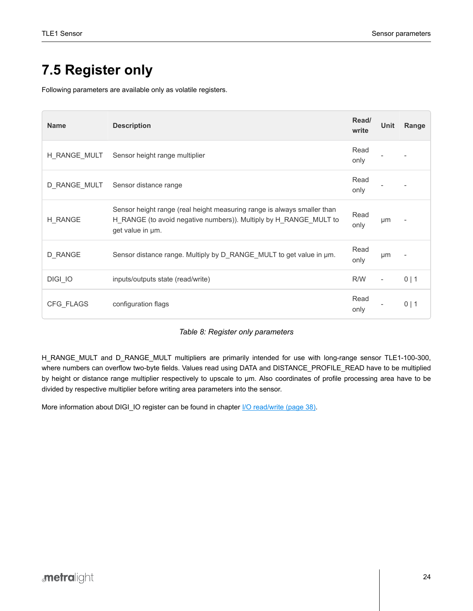### <span id="page-23-0"></span>**7.5 Register only**

Following parameters are available only as volatile registers.

<span id="page-23-1"></span>

| <b>Name</b>  | <b>Description</b>                                                                                                                                               | Read/<br>write | <b>Unit</b>              | Range |
|--------------|------------------------------------------------------------------------------------------------------------------------------------------------------------------|----------------|--------------------------|-------|
| H_RANGE_MULT | Sensor height range multiplier                                                                                                                                   | Read<br>only   |                          |       |
| D_RANGE_MULT | Sensor distance range                                                                                                                                            | Read<br>only   |                          |       |
| H RANGE      | Sensor height range (real height measuring range is always smaller than<br>H RANGE (to avoid negative numbers)). Multiply by H RANGE MULT to<br>get value in um. | Read<br>only   | µm                       |       |
| D RANGE      | Sensor distance range. Multiply by D_RANGE_MULT to get value in µm.                                                                                              | Read<br>only   | μm                       |       |
| DIGI_IO      | inputs/outputs state (read/write)                                                                                                                                | R/W            | $\overline{\phantom{a}}$ | 0 1   |
| CFG_FLAGS    | configuration flags                                                                                                                                              | Read<br>only   |                          | 0 1   |

#### *Table 8: Register only parameters*

H\_RANGE\_MULT and D\_RANGE\_MULT multipliers are primarily intended for use with long-range sensor TLE1-100-300, where numbers can overflow two-byte fields. Values read using DATA and DISTANCE\_PROFILE\_READ have to be multiplied by height or distance range multiplier respectively to upscale to µm. Also coordinates of profile processing area have to be divided by respective multiplier before writing area parameters into the sensor.

More information about DIGI\_IO register can be found in chapter *[I/O read/write](#page-37-0) (page 38)*.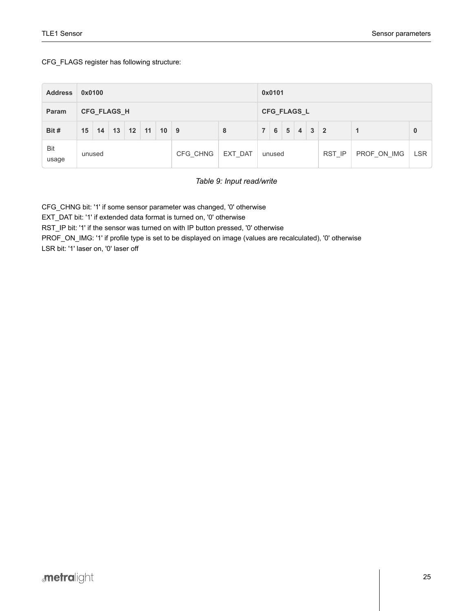CFG\_FLAGS register has following structure:

<span id="page-24-0"></span>

| <b>Address</b> | 0x0100      |        |    |    |    |    |                     |   | 0x0101         |  |                                               |                |            |  |  |   |
|----------------|-------------|--------|----|----|----|----|---------------------|---|----------------|--|-----------------------------------------------|----------------|------------|--|--|---|
| Param          | CFG_FLAGS_H |        |    |    |    |    |                     |   | CFG_FLAGS_L    |  |                                               |                |            |  |  |   |
| Bit #          | 15          | 14     | 13 | 12 | 11 | 10 | ∣9                  | 8 | $\overline{7}$ |  | $6 \mid 5$                                    | $\overline{4}$ | $3 \mid 2$ |  |  | 0 |
| Bit<br>usage   |             | unused |    |    |    |    | CFG CHNG<br>EXT DAT |   |                |  | PROF_ON_IMG<br><b>LSR</b><br>RST IP<br>unused |                |            |  |  |   |

#### *Table 9: Input read/write*

CFG\_CHNG bit: '1' if some sensor parameter was changed, '0' otherwise

EXT\_DAT bit: '1' if extended data format is turned on, '0' otherwise

RST\_IP bit: '1' if the sensor was turned on with IP button pressed, '0' otherwise

PROF\_ON\_IMG: '1' if profile type is set to be displayed on image (values are recalculated), '0' otherwise

LSR bit: '1' laser on, '0' laser off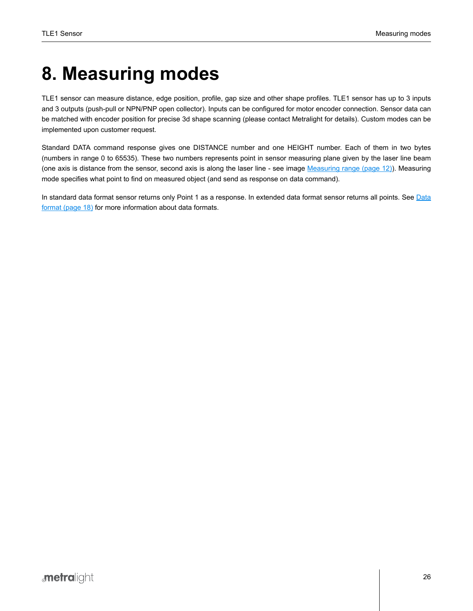## <span id="page-25-0"></span>**8. Measuring modes**

TLE1 sensor can measure distance, edge position, profile, gap size and other shape profiles. TLE1 sensor has up to 3 inputs and 3 outputs (push-pull or NPN/PNP open collector). Inputs can be configured for motor encoder connection. Sensor data can be matched with encoder position for precise 3d shape scanning (please contact Metralight for details). Custom modes can be implemented upon customer request.

Standard DATA command response gives one DISTANCE number and one HEIGHT number. Each of them in two bytes (numbers in range 0 to 65535). These two numbers represents point in sensor measuring plane given by the laser line beam (one axis is distance from the sensor, second axis is along the laser line - see image [Measuring range](#page-11-1) (page 12)). Measuring mode specifies what point to find on measured object (and send as response on data command).

In standard data format sensor returns only Point 1 as a response. In extended data format sensor returns all points. See [Data](#page-17-0) format [\(page 18\)](#page-17-0) for more information about data formats.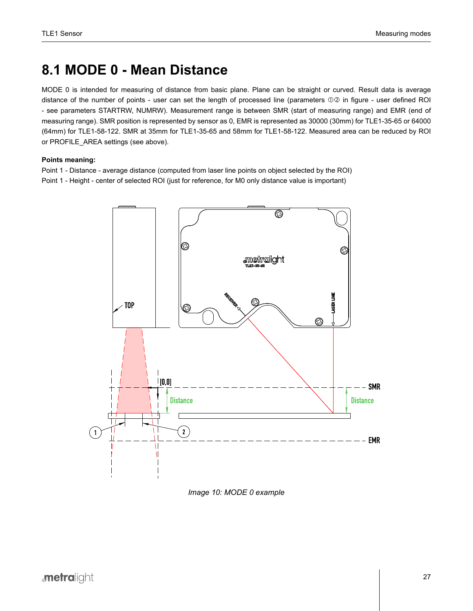#### <span id="page-26-0"></span>**8.1 MODE 0 - Mean Distance**

MODE 0 is intended for measuring of distance from basic plane. Plane can be straight or curved. Result data is average distance of the number of points - user can set the length of processed line (parameters ①② in figure - user defined ROI - see parameters STARTRW, NUMRW). Measurement range is between SMR (start of measuring range) and EMR (end of measuring range). SMR position is represented by sensor as 0, EMR is represented as 30000 (30mm) for TLE1-35-65 or 64000 (64mm) for TLE1-58-122. SMR at 35mm for TLE1-35-65 and 58mm for TLE1-58-122. Measured area can be reduced by ROI or PROFILE AREA settings (see above).

#### **Points meaning:**

<span id="page-26-1"></span>Point 1 - Distance - average distance (computed from laser line points on object selected by the ROI) Point 1 - Height - center of selected ROI (just for reference, for M0 only distance value is important)



*Image 10: MODE 0 example*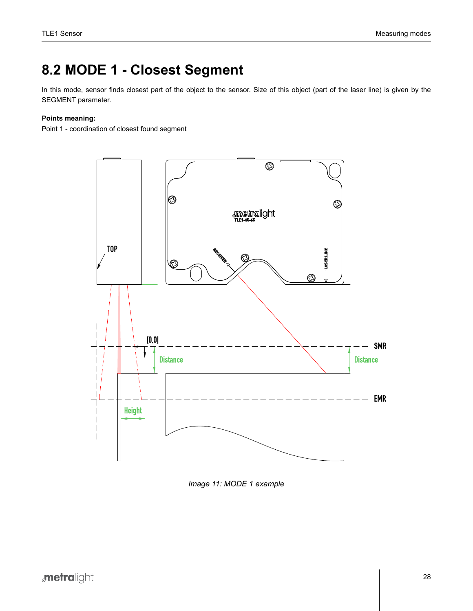### <span id="page-27-0"></span>**8.2 MODE 1 - Closest Segment**

In this mode, sensor finds closest part of the object to the sensor. Size of this object (part of the laser line) is given by the SEGMENT parameter.

#### **Points meaning:**

<span id="page-27-1"></span>Point 1 - coordination of closest found segment



*Image 11: MODE 1 example*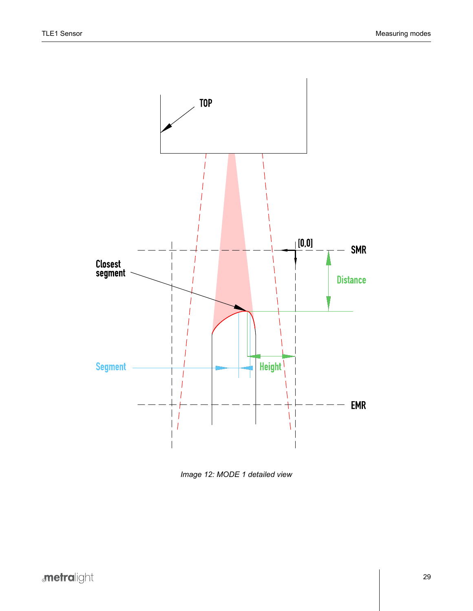<span id="page-28-0"></span>

*Image 12: MODE 1 detailed view*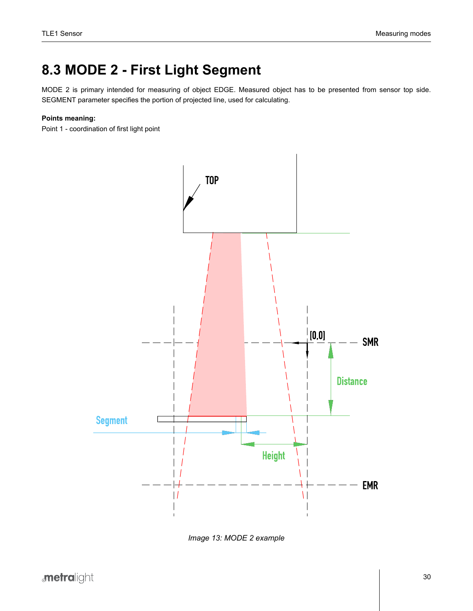### <span id="page-29-0"></span>**8.3 MODE 2 - First Light Segment**

MODE 2 is primary intended for measuring of object EDGE. Measured object has to be presented from sensor top side. SEGMENT parameter specifies the portion of projected line, used for calculating.

#### **Points meaning:**

<span id="page-29-1"></span>Point 1 - coordination of first light point



*Image 13: MODE 2 example*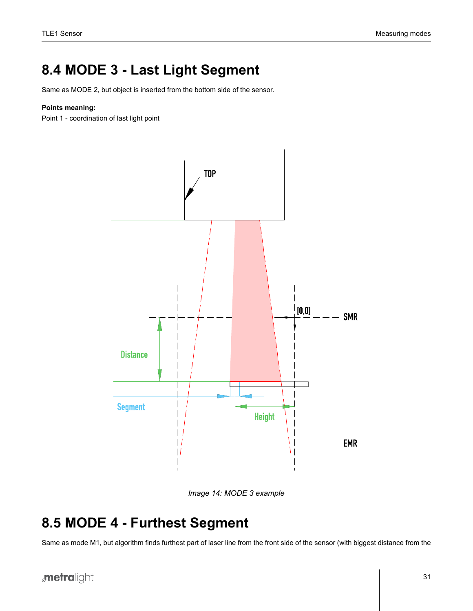### <span id="page-30-0"></span>**8.4 MODE 3 - Last Light Segment**

Same as MODE 2, but object is inserted from the bottom side of the sensor.

#### **Points meaning:**

Point 1 - coordination of last light point



*Image 14: MODE 3 example*

### <span id="page-30-1"></span>**8.5 MODE 4 - Furthest Segment**

Same as mode M1, but algorithm finds furthest part of laser line from the front side of the sensor (with biggest distance from the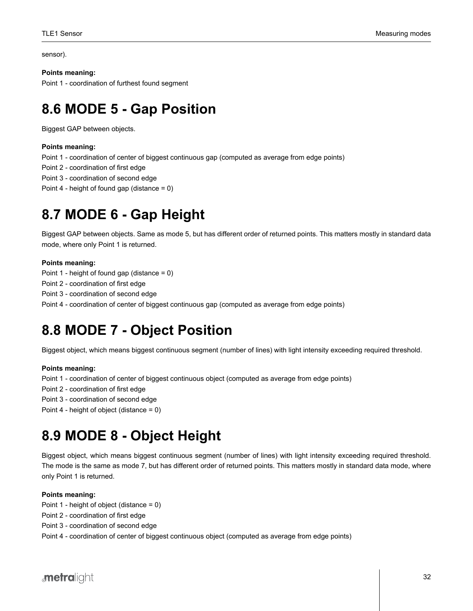sensor).

#### **Points meaning:**

Point 1 - coordination of furthest found segment

#### <span id="page-31-0"></span>**8.6 MODE 5 - Gap Position**

Biggest GAP between objects.

#### **Points meaning:**

Point 1 - coordination of center of biggest continuous gap (computed as average from edge points)

Point 2 - coordination of first edge

Point 3 - coordination of second edge

Point 4 - height of found gap (distance = 0)

#### <span id="page-31-1"></span>**8.7 MODE 6 - Gap Height**

Biggest GAP between objects. Same as mode 5, but has different order of returned points. This matters mostly in standard data mode, where only Point 1 is returned.

#### **Points meaning:**

Point 1 - height of found gap (distance = 0)

Point 2 - coordination of first edge

Point 3 - coordination of second edge

Point 4 - coordination of center of biggest continuous gap (computed as average from edge points)

### <span id="page-31-2"></span>**8.8 MODE 7 - Object Position**

Biggest object, which means biggest continuous segment (number of lines) with light intensity exceeding required threshold.

#### **Points meaning:**

Point 1 - coordination of center of biggest continuous object (computed as average from edge points)

Point 2 - coordination of first edge

Point 3 - coordination of second edge

Point 4 - height of object (distance = 0)

#### <span id="page-31-3"></span>**8.9 MODE 8 - Object Height**

Biggest object, which means biggest continuous segment (number of lines) with light intensity exceeding required threshold. The mode is the same as mode 7, but has different order of returned points. This matters mostly in standard data mode, where only Point 1 is returned.

#### **Points meaning:**

Point 1 - height of object (distance = 0)

Point 2 - coordination of first edge

Point 3 - coordination of second edge

Point 4 - coordination of center of biggest continuous object (computed as average from edge points)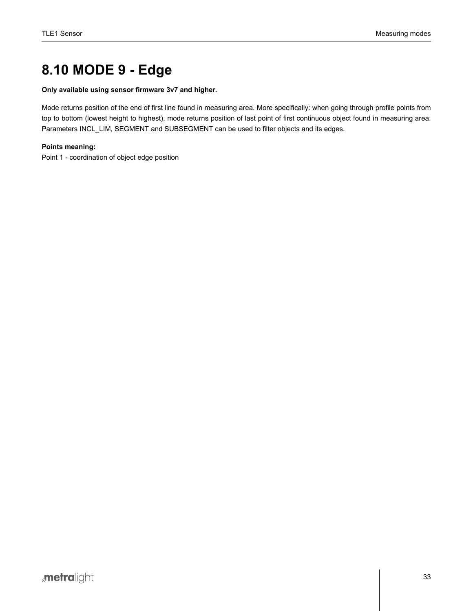### **8.10 MODE 9 - Edge**

#### **Only available using sensor firmware 3v7 and higher.**

Mode returns position of the end of first line found in measuring area. More specifically: when going through profile points from top to bottom (lowest height to highest), mode returns position of last point of first continuous object found in measuring area. Parameters INCL\_LIM, SEGMENT and SUBSEGMENT can be used to filter objects and its edges.

#### **Points meaning:**

Point 1 - coordination of object edge position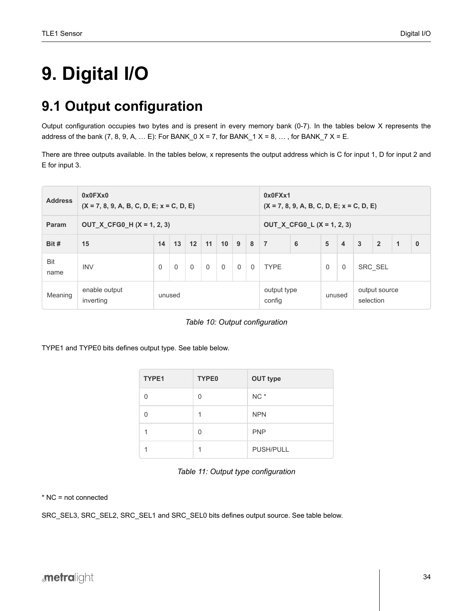# <span id="page-33-0"></span>**9. Digital I/O**

### <span id="page-33-1"></span>**9.1 Output configuration**

Output configuration occupies two bytes and is present in every memory bank (0-7). In the tables below X represents the address of the bank (7, 8, 9, A, ... E): For BANK\_0  $X = 7$ , for BANK\_1  $X = 8$ , ..., for BANK\_7  $X = E$ .

There are three outputs available. In the tables below, x represents the output address which is C for input 1, D for input 2 and E for input 3.

<span id="page-33-2"></span>

| <b>Address</b> | 0x0FXx0<br>$(X = 7, 8, 9, A, B, C, D, E; x = C, D, E)$                                             | 0x0FXx1<br>$(X = 7, 8, 9, A, B, C, D, E; x = C, D, E)$ |    |    |    |    |   |   |                       |                                                |        |                |           |                |                |             |
|----------------|----------------------------------------------------------------------------------------------------|--------------------------------------------------------|----|----|----|----|---|---|-----------------------|------------------------------------------------|--------|----------------|-----------|----------------|----------------|-------------|
| Param          | OUT_X_CFG0_H (X = 1, 2, 3)                                                                         | OUT_X_CFG0_L $(X = 1, 2, 3)$                           |    |    |    |    |   |   |                       |                                                |        |                |           |                |                |             |
| Bit #          | 15                                                                                                 | 14                                                     | 13 | 12 | 11 | 10 | 9 | 8 | $\overline{7}$        | 6                                              | 5      | $\overline{4}$ | 3         | $\overline{2}$ | $\overline{1}$ | $\mathbf 0$ |
| Bit<br>name    | $\Omega$<br>$\Omega$<br><b>INV</b><br>$\Omega$<br>$\Omega$<br>$\Omega$<br>$\Omega$<br>$\mathbf{0}$ |                                                        |    |    |    |    |   |   |                       | $\Omega$<br>$\Omega$<br><b>TYPE</b><br>SRC SEL |        |                |           |                |                |             |
| Meaning        | enable output<br>inverting                                                                         | unused                                                 |    |    |    |    |   |   | output type<br>config |                                                | unused |                | selection | output source  |                |             |

*Table 10: Output configuration*

<span id="page-33-3"></span>TYPE1 and TYPE0 bits defines output type. See table below.

| TYPE1 | <b>TYPE0</b> | <b>OUT type</b>  |
|-------|--------------|------------------|
| U     | U            | $NC^*$           |
| U     |              | <b>NPN</b>       |
| 1     | U            | <b>PNP</b>       |
|       | 1            | <b>PUSH/PULL</b> |

*Table 11: Output type configuration*

\* NC = not connected

SRC\_SEL3, SRC\_SEL2, SRC\_SEL1 and SRC\_SEL0 bits defines output source. See table below.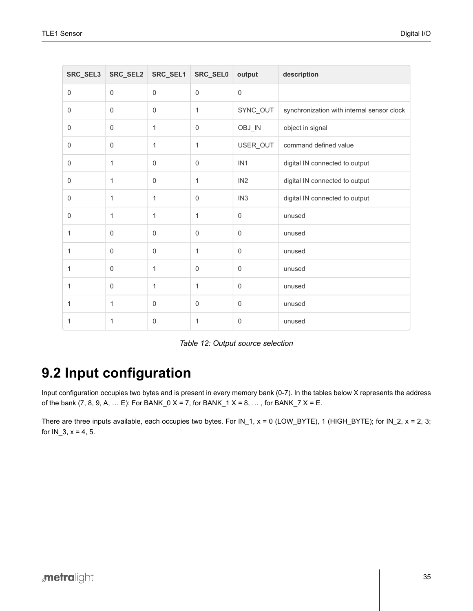<span id="page-34-1"></span>

| SRC_SEL3    | SRC_SEL2       | SRC_SEL1    | SRC_SEL0    | output          | description                                |
|-------------|----------------|-------------|-------------|-----------------|--------------------------------------------|
| 0           | $\overline{0}$ | $\mathbf 0$ | $\mathsf 0$ | 0               |                                            |
| $\mathbf 0$ | $\overline{0}$ | $\mathbf 0$ | 1           | SYNC_OUT        | synchronization with internal sensor clock |
| 0           | $\mathbf 0$    | 1           | 0           | OBJ_IN          | object in signal                           |
| $\mathbf 0$ | $\overline{0}$ | 1           | 1           | USER_OUT        | command defined value                      |
| 0           | 1              | $\mathbf 0$ | 0           | IN <sub>1</sub> | digital IN connected to output             |
| $\mathbf 0$ | $\mathbf{1}$   | $\mathbf 0$ | 1           | IN <sub>2</sub> | digital IN connected to output             |
| 0           | $\mathbf{1}$   | 1           | 0           | IN <sub>3</sub> | digital IN connected to output             |
| $\mathsf 0$ | $\mathbf{1}$   | 1           | 1           | $\mathsf 0$     | unused                                     |
| 1           | $\overline{0}$ | $\mathbf 0$ | 0           | 0               | unused                                     |
| 1           | $\overline{0}$ | $\mathbf 0$ | 1           | 0               | unused                                     |
| 1           | $\mathbf 0$    | 1           | 0           | 0               | unused                                     |
| 1           | $\overline{0}$ | 1           | 1           | 0               | unused                                     |
| 1           | $\mathbf{1}$   | $\mathbf 0$ | $\mathsf 0$ | $\mathsf 0$     | unused                                     |
| 1           | 1              | $\mathbf 0$ | 1           | 0               | unused                                     |

|  |  | Table 12: Output source selection |
|--|--|-----------------------------------|
|  |  |                                   |

### <span id="page-34-0"></span>**9.2 Input configuration**

Input configuration occupies two bytes and is present in every memory bank (0-7). In the tables below X represents the address of the bank  $(7, 8, 9, A, ... E)$ : For BANK\_0 X = 7, for BANK\_1 X = 8, ..., for BANK\_7 X = E.

There are three inputs available, each occupies two bytes. For IN\_1,  $x = 0$  (LOW\_BYTE), 1 (HIGH\_BYTE); for IN\_2,  $x = 2$ , 3; for  $IN_3$ ,  $x = 4, 5$ .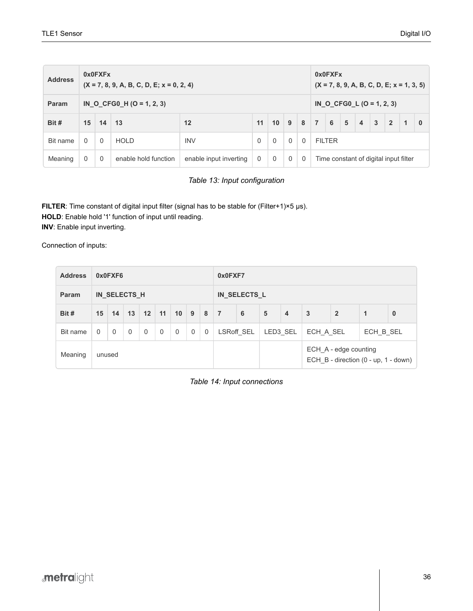| <b>TLE1 Sensor</b> | Digital I/O |
|--------------------|-------------|
|--------------------|-------------|

<span id="page-35-0"></span>

| <b>Address</b> | 0x0FXFx<br>$(X = 7, 8, 9, A, B, C, D, E; x = 0, 2, 4)$ | 0x0FXFx<br>$(X = 7, 8, 9, A, B, C, D, E; x = 1, 3, 5)$ |                               |                        |              |                 |          |             |                                       |               |             |                |                |                |                |              |
|----------------|--------------------------------------------------------|--------------------------------------------------------|-------------------------------|------------------------|--------------|-----------------|----------|-------------|---------------------------------------|---------------|-------------|----------------|----------------|----------------|----------------|--------------|
| Param          |                                                        |                                                        | $IN\_O\_CFGO_H (O = 1, 2, 3)$ |                        |              |                 |          |             | $IN\_O\_CFG0\_L (O = 1, 2, 3)$        |               |             |                |                |                |                |              |
| Bit #          | 15                                                     | 14                                                     | -13                           | 12                     | 11           | 10 <sup>1</sup> | 9        | 8           | $\overline{7}$<br>6                   |               | $5^{\circ}$ | $\overline{4}$ | $\overline{3}$ | $\overline{2}$ | $\overline{1}$ | $\mathbf{0}$ |
| Bit name       | $\Omega$                                               | $\Omega$                                               | <b>HOLD</b>                   | <b>INV</b>             | $\Omega$     | $\Omega$        | $\Omega$ | $\Omega$    |                                       | <b>FILTER</b> |             |                |                |                |                |              |
| Meaning        | 0                                                      | $\Omega$                                               | enable hold function          | enable input inverting | $\mathbf{0}$ | $\mathbf 0$     | $\Omega$ | $\mathbf 0$ | Time constant of digital input filter |               |             |                |                |                |                |              |

#### *Table 13: Input configuration*

**FILTER**: Time constant of digital input filter (signal has to be stable for (Filter+1)×5 µs). **HOLD**: Enable hold '1' function of input until reading. **INV**: Enable input inverting.

<span id="page-35-1"></span>Connection of inputs:

| <b>Address</b> | 0x0FXF6      |                |          |             |             |                      |                |             | 0x0FXF7                |   |                       |                                           |  |  |  |  |  |
|----------------|--------------|----------------|----------|-------------|-------------|----------------------|----------------|-------------|------------------------|---|-----------------------|-------------------------------------------|--|--|--|--|--|
| Param          | IN_SELECTS_H |                |          |             |             |                      |                |             | IN SELECTS L           |   |                       |                                           |  |  |  |  |  |
| Bit#           | 15           | 14             | 13       |             | $12$ 11     | $10 \quad 9 \quad 8$ |                |             | $\vert$ 7              | 6 | 5                     | $\mathbf 0$                               |  |  |  |  |  |
| Bit name       | $\Omega$     | $\overline{0}$ | $\Omega$ | $\mathbf 0$ | $\mathbf 0$ | $\mathbf 0$          | $\overline{0}$ | $\mathbf 0$ | LSRoff_SEL<br>LED3 SEL |   |                       | ECH_A_SEL<br>ECH_B_SEL                    |  |  |  |  |  |
| Meaning        | unused       |                |          |             |             |                      |                |             |                        |   | ECH A - edge counting | ECH $\,$ B - direction (0 - up, 1 - down) |  |  |  |  |  |

*Table 14: Input connections*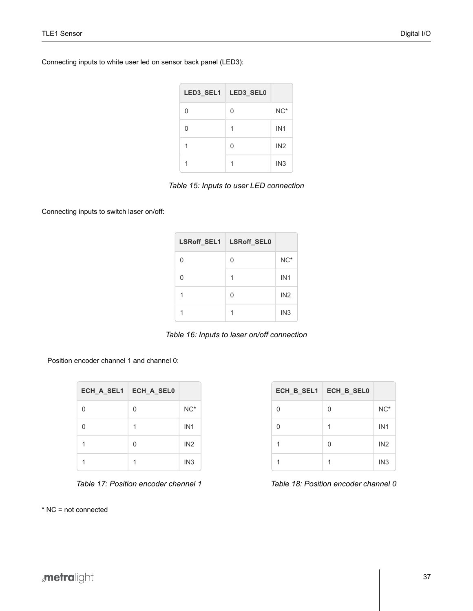|   | LED3_SEL1   LED3_SEL0 |                 |
|---|-----------------------|-----------------|
| 0 | $\Omega$              | $NC*$           |
| O |                       | IN <sub>1</sub> |
| 1 | 0                     | IN <sub>2</sub> |
|   |                       | IN <sub>3</sub> |

*Table 15: Inputs to user LED connection*

<span id="page-36-1"></span><span id="page-36-0"></span>Connecting inputs to switch laser on/off:

| LSRoff SEL1   LSRoff SEL0 |   |                 |
|---------------------------|---|-----------------|
| 0                         | 0 | $NC^*$          |
| 0                         |   | IN <sub>1</sub> |
| 1                         | U | IN <sub>2</sub> |
|                           |   | IN <sub>3</sub> |

*Table 16: Inputs to laser on/off connection*

<span id="page-36-2"></span>Position encoder channel 1 and channel 0:

| ECH_A_SEL1 | ECH_A_SEL0 |                 |
|------------|------------|-----------------|
| 0          | 0          | $NC^*$          |
| 0          | 1          | IN <sub>1</sub> |
| 1          | 0          | IN <sub>2</sub> |
|            |            | IN <sub>3</sub> |

*Table 17: Position encoder channel 1*

| ECH_B_SEL1 | ECH_B_SEL0 |                 |
|------------|------------|-----------------|
| U          | U          | $NC^*$          |
| ∩          |            | IN <sub>1</sub> |
| 1          | U          | IN <sub>2</sub> |
|            |            | IN <sub>3</sub> |

*Table 18: Position encoder channel 0*

\* NC = not connected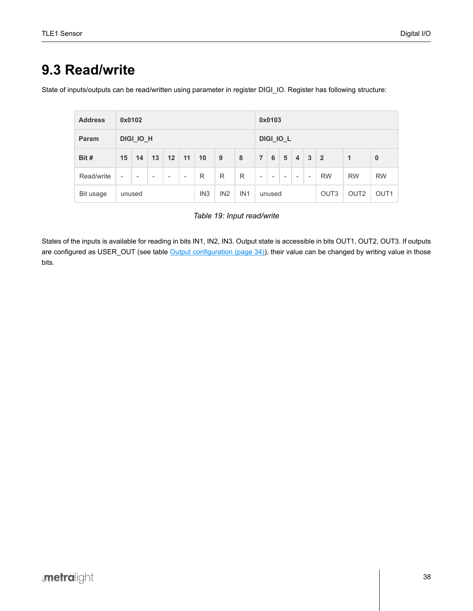### <span id="page-37-0"></span>**9.3 Read/write**

<span id="page-37-1"></span>State of inputs/outputs can be read/written using parameter in register DIGI\_IO. Register has following structure:

| <b>Address</b> | 0x0102                   |        |                          |                          |    |                 |                 |                 |                          | 0x0103                                         |   |                          |                          |           |                  |           |  |
|----------------|--------------------------|--------|--------------------------|--------------------------|----|-----------------|-----------------|-----------------|--------------------------|------------------------------------------------|---|--------------------------|--------------------------|-----------|------------------|-----------|--|
| Param          | DIGI_IO_H                |        |                          |                          |    |                 |                 | DIGI_IO_L       |                          |                                                |   |                          |                          |           |                  |           |  |
| Bit #          | 15                       | 14     | 13                       | 12                       | 11 | 10              | 9               | 8               | $\overline{7}$           | 6                                              | 5 | $\overline{4}$           | $3 \mid 2$               |           | $\mathbf 0$      |           |  |
| Read/write     | $\overline{\phantom{a}}$ | ۰      | $\overline{\phantom{a}}$ | $\overline{\phantom{a}}$ | ٠  | R               | R               | R               | $\overline{\phantom{a}}$ | $\overline{\phantom{a}}$                       | - | $\overline{\phantom{a}}$ | $\overline{\phantom{a}}$ | <b>RW</b> | <b>RW</b>        | <b>RW</b> |  |
| Bit usage      |                          | unused |                          |                          |    | IN <sub>3</sub> | IN <sub>2</sub> | IN <sub>1</sub> |                          | OUT <sub>3</sub><br>OUT <sub>2</sub><br>unused |   |                          |                          |           | OUT <sub>1</sub> |           |  |

*Table 19: Input read/write*

States of the inputs is available for reading in bits IN1, IN2, IN3. Output state is accessible in bits OUT1, OUT2, OUT3. If outputs are configured as USER\_OUT (see table [Output configuration](#page-33-2) (page 34)), their value can be changed by writing value in those bits.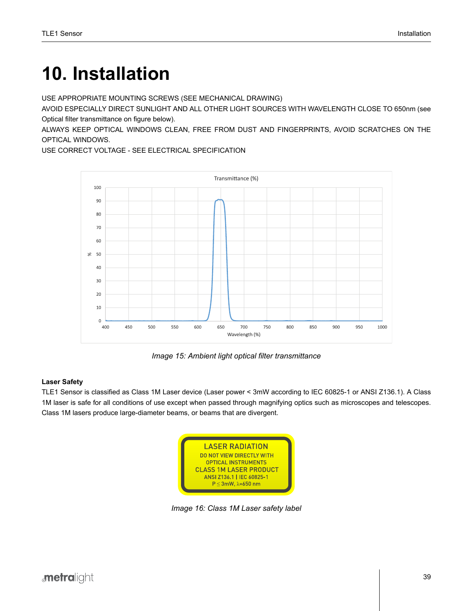# <span id="page-38-0"></span>**10. Installation**

USE APPROPRIATE MOUNTING SCREWS (SEE MECHANICAL DRAWING)

AVOID ESPECIALLY DIRECT SUNLIGHT AND ALL OTHER LIGHT SOURCES WITH WAVELENGTH CLOSE TO 650nm (see Optical filter transmittance on figure below).

ALWAYS KEEP OPTICAL WINDOWS CLEAN, FREE FROM DUST AND FINGERPRINTS, AVOID SCRATCHES ON THE OPTICAL WINDOWS.

<span id="page-38-1"></span>USE CORRECT VOLTAGE - SEE ELECTRICAL SPECIFICATION



*Image 15: Ambient light optical filter transmittance*

#### **Laser Safety**

<span id="page-38-2"></span>TLE1 Sensor is classified as Class 1M Laser device (Laser power < 3mW according to IEC 60825-1 or ANSI Z136.1). A Class 1M laser is safe for all conditions of use except when passed through magnifying optics such as microscopes and telescopes. Class 1M lasers produce large-diameter beams, or beams that are divergent.



*Image 16: Class 1M Laser safety label*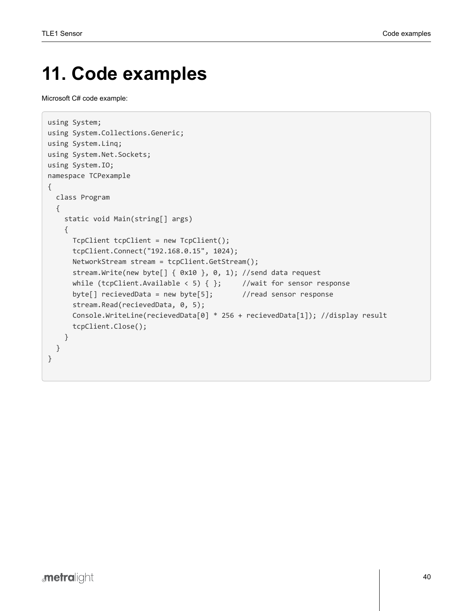## <span id="page-39-0"></span>**11. Code examples**

Microsoft C# code example:

```
using System;
using System.Collections.Generic;
using System.Linq;
using System.Net.Sockets;
using System.IO;
namespace TCPexample
{
 class Program
 {
    static void Main(string[] args)
    {
      TcpClient tcpClient = new TcpClient();
      tcpClient.Connect("192.168.0.15", 1024);
      NetworkStream stream = tcpClient.GetStream();
      stream.Write(new byte[] { 0x10 }, 0, 1); //send data request
      while (tcpClient.Available < 5) { }; //wait for sensor response
      byte[] recievedData = new byte[5]; //read sensor response
      stream.Read(recievedData, 0, 5);
      Console.WriteLine(recievedData[0] * 256 + recievedData[1]); //display result
      tcpClient.Close();
    }
 }
}
```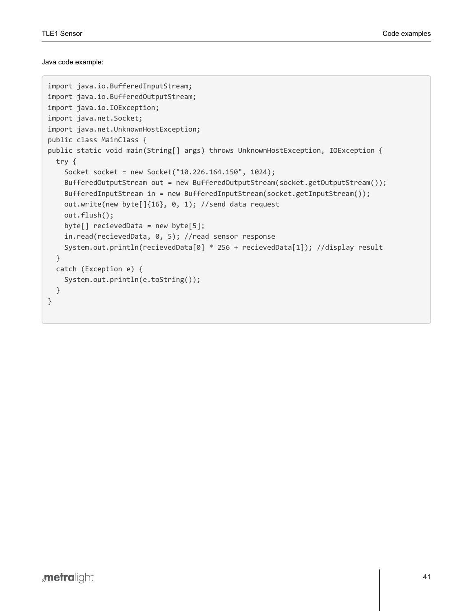Java code example:

```
import java.io.BufferedInputStream;
import java.io.BufferedOutputStream;
import java.io.IOException;
import java.net.Socket;
import java.net.UnknownHostException;
public class MainClass {
public static void main(String[] args) throws UnknownHostException, IOException {
 try {
    Socket socket = new Socket("10.226.164.150", 1024);
    BufferedOutputStream out = new BufferedOutputStream(socket.getOutputStream());
    BufferedInputStream in = new BufferedInputStream(socket.getInputStream());
   out.write(new byte[]{16}, 0, 1); //send data request
   out.flush();
   byte[] recievedData = new byte[5];
   in.read(recievedData, 0, 5); //read sensor response
   System.out.println(recievedData[0] * 256 + recievedData[1]); //display result
 }
 catch (Exception e) {
    System.out.println(e.toString());
 }
}
```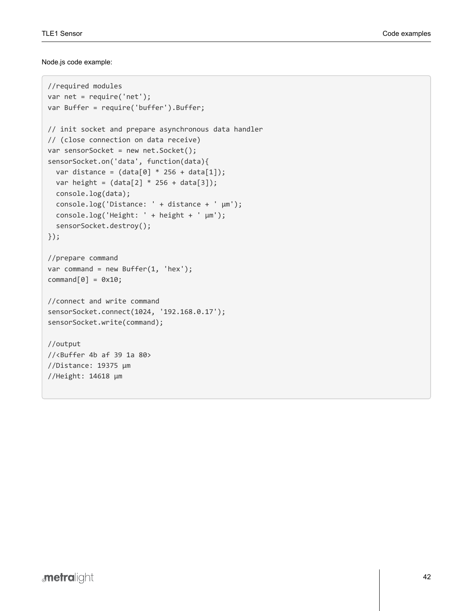#### Node.js code example:

```
//required modules
var net = require('net');
var Buffer = require('buffer').Buffer;
// init socket and prepare asynchronous data handler
// (close connection on data receive)
var sensorSocket = new net.Socket();
sensorSocket.on('data', function(data){
 var distance = (data[0] * 256 + data[1]);var height = (data[2] * 256 + data[3]);console.log(data);
 console.log('Distance: ' + distance + ' µm');
 console.log('Height: ' + height + ' µm');
 sensorSocket.destroy();
});
//prepare command
var command = new Buffer(1, 'hex');
command[0] = 0x10;//connect and write command
sensorSocket.connect(1024, '192.168.0.17');
sensorSocket.write(command);
//output
//<Buffer 4b af 39 1a 80>
//Distance: 19375 µm
//Height: 14618 µm
```